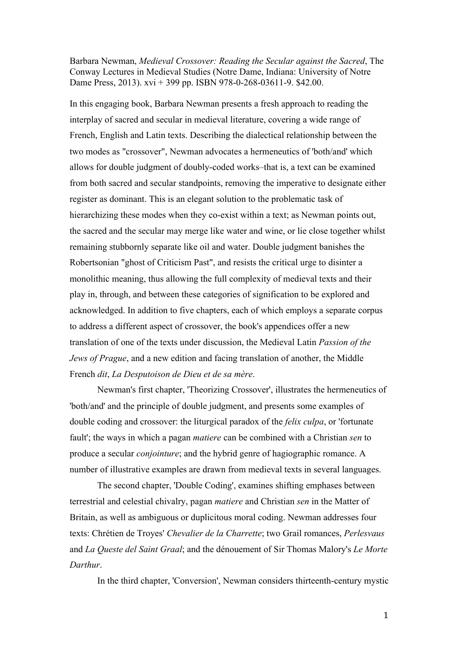Barbara Newman, *Medieval Crossover: Reading the Secular against the Sacred*, The Conway Lectures in Medieval Studies (Notre Dame, Indiana: University of Notre Dame Press, 2013). xvi + 399 pp. ISBN 978-0-268-03611-9. \$42.00.

In this engaging book, Barbara Newman presents a fresh approach to reading the interplay of sacred and secular in medieval literature, covering a wide range of French, English and Latin texts. Describing the dialectical relationship between the two modes as "crossover", Newman advocates a hermeneutics of 'both/and' which allows for double judgment of doubly-coded works–that is, a text can be examined from both sacred and secular standpoints, removing the imperative to designate either register as dominant. This is an elegant solution to the problematic task of hierarchizing these modes when they co-exist within a text; as Newman points out, the sacred and the secular may merge like water and wine, or lie close together whilst remaining stubbornly separate like oil and water. Double judgment banishes the Robertsonian "ghost of Criticism Past", and resists the critical urge to disinter a monolithic meaning, thus allowing the full complexity of medieval texts and their play in, through, and between these categories of signification to be explored and acknowledged. In addition to five chapters, each of which employs a separate corpus to address a different aspect of crossover, the book's appendices offer a new translation of one of the texts under discussion, the Medieval Latin *Passion of the Jews of Prague*, and a new edition and facing translation of another, the Middle French *dit*, *La Desputoison de Dieu et de sa mère*.

Newman's first chapter, 'Theorizing Crossover', illustrates the hermeneutics of 'both/and' and the principle of double judgment, and presents some examples of double coding and crossover: the liturgical paradox of the *felix culpa*, or 'fortunate fault'; the ways in which a pagan *matiere* can be combined with a Christian *sen* to produce a secular *conjointure*; and the hybrid genre of hagiographic romance. A number of illustrative examples are drawn from medieval texts in several languages.

The second chapter, 'Double Coding', examines shifting emphases between terrestrial and celestial chivalry, pagan *matiere* and Christian *sen* in the Matter of Britain, as well as ambiguous or duplicitous moral coding. Newman addresses four texts: Chrétien de Troyes' *Chevalier de la Charrette*; two Grail romances, *Perlesvaus* and *La Queste del Saint Graal*; and the dénouement of Sir Thomas Malory's *Le Morte Darthur*.

In the third chapter, 'Conversion', Newman considers thirteenth-century mystic